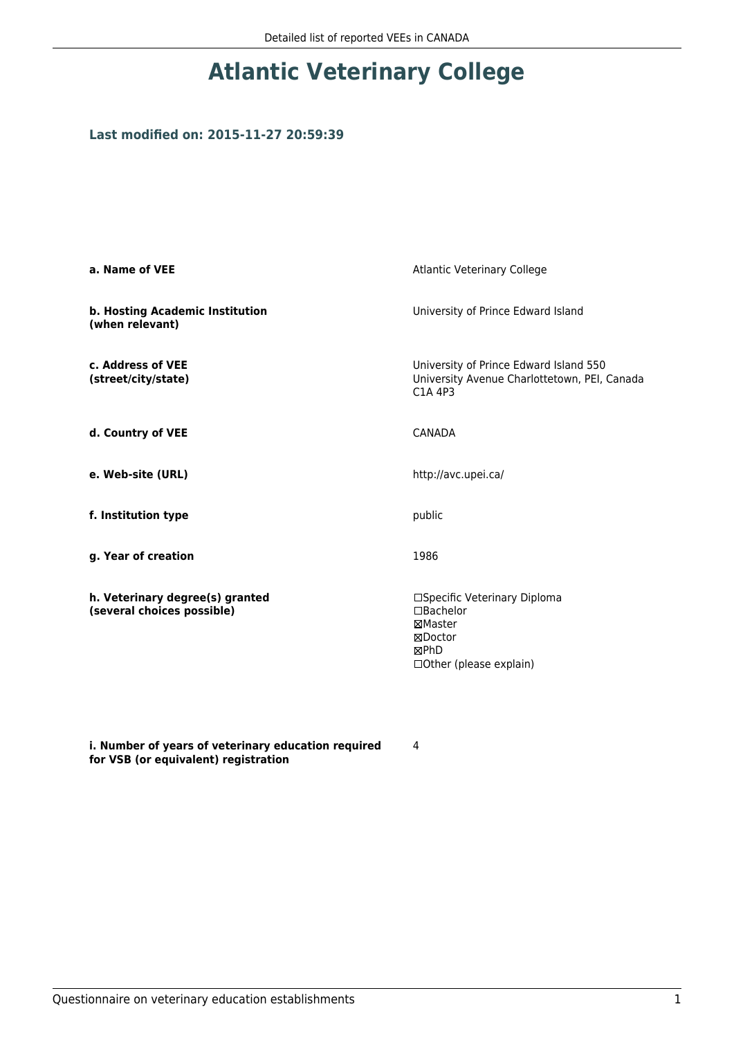# **Atlantic Veterinary College**

### **Last modified on: 2015-11-27 20:59:39**

| a. Name of VEE                                                | Atlantic Veterinary College                                                                               |
|---------------------------------------------------------------|-----------------------------------------------------------------------------------------------------------|
| b. Hosting Academic Institution<br>(when relevant)            | University of Prince Edward Island                                                                        |
| c. Address of VEE<br>(street/city/state)                      | University of Prince Edward Island 550<br>University Avenue Charlottetown, PEI, Canada<br>C1A 4P3         |
| d. Country of VEE                                             | <b>CANADA</b>                                                                                             |
| e. Web-site (URL)                                             | http://avc.upei.ca/                                                                                       |
| f. Institution type                                           | public                                                                                                    |
| g. Year of creation                                           | 1986                                                                                                      |
| h. Veterinary degree(s) granted<br>(several choices possible) | □Specific Veterinary Diploma<br>$\Box$ Bachelor<br>⊠Master<br>⊠Doctor<br>⊠PhD<br>□ Other (please explain) |

**i. Number of years of veterinary education required for VSB (or equivalent) registration**

4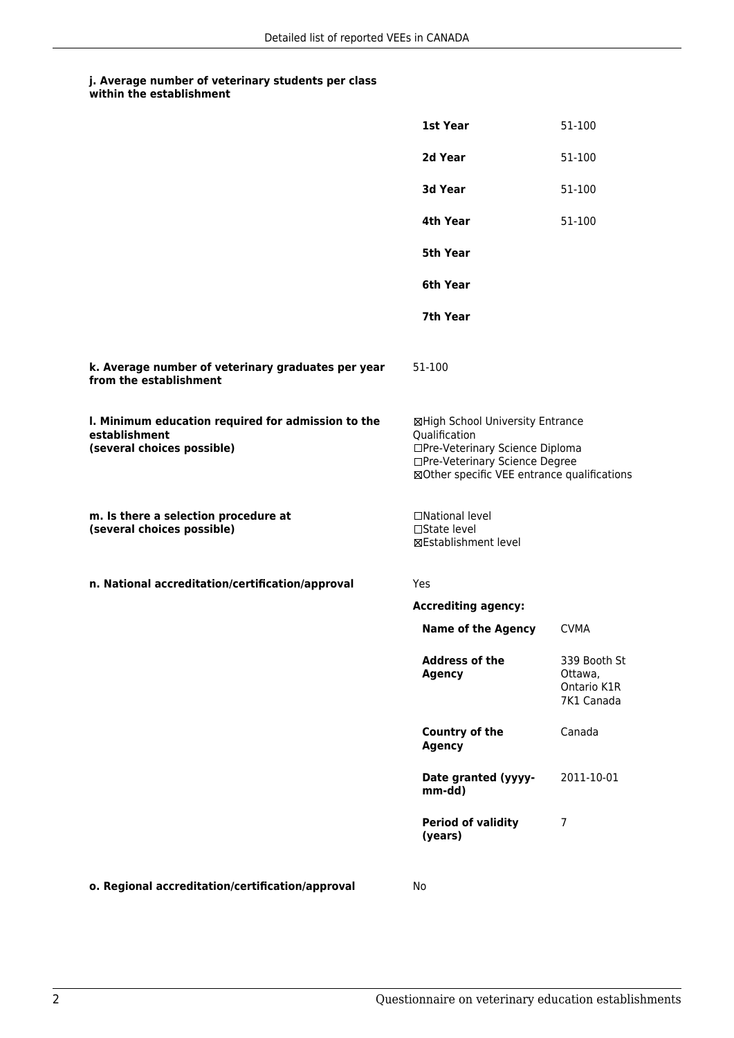|                                                                                                   | 1st Year                                                                                                                                                              | 51-100                                               |
|---------------------------------------------------------------------------------------------------|-----------------------------------------------------------------------------------------------------------------------------------------------------------------------|------------------------------------------------------|
|                                                                                                   | 2d Year                                                                                                                                                               | 51-100                                               |
|                                                                                                   | 3d Year                                                                                                                                                               | 51-100                                               |
|                                                                                                   | 4th Year                                                                                                                                                              | 51-100                                               |
|                                                                                                   | 5th Year                                                                                                                                                              |                                                      |
|                                                                                                   | 6th Year                                                                                                                                                              |                                                      |
|                                                                                                   | 7th Year                                                                                                                                                              |                                                      |
| k. Average number of veterinary graduates per year<br>from the establishment                      | 51-100                                                                                                                                                                |                                                      |
| I. Minimum education required for admission to the<br>establishment<br>(several choices possible) | ⊠High School University Entrance<br>Qualification<br>□Pre-Veterinary Science Diploma<br>□Pre-Veterinary Science Degree<br>⊠Other specific VEE entrance qualifications |                                                      |
| m. Is there a selection procedure at<br>(several choices possible)                                | □National level<br>$\Box$ State level<br>⊠Establishment level                                                                                                         |                                                      |
| n. National accreditation/certification/approval                                                  | Yes                                                                                                                                                                   |                                                      |
|                                                                                                   | <b>Accrediting agency:</b>                                                                                                                                            |                                                      |
|                                                                                                   | <b>Name of the Agency</b>                                                                                                                                             | <b>CVMA</b>                                          |
|                                                                                                   | <b>Address of the</b><br><b>Agency</b>                                                                                                                                | 339 Booth St<br>Ottawa,<br>Ontario K1R<br>7K1 Canada |
|                                                                                                   | <b>Country of the</b><br><b>Agency</b>                                                                                                                                | Canada                                               |
|                                                                                                   | Date granted (yyyy-<br>mm-dd)                                                                                                                                         | 2011-10-01                                           |
|                                                                                                   | <b>Period of validity</b><br>(years)                                                                                                                                  | 7                                                    |
|                                                                                                   |                                                                                                                                                                       |                                                      |

**o. Regional accreditation/certification/approval** No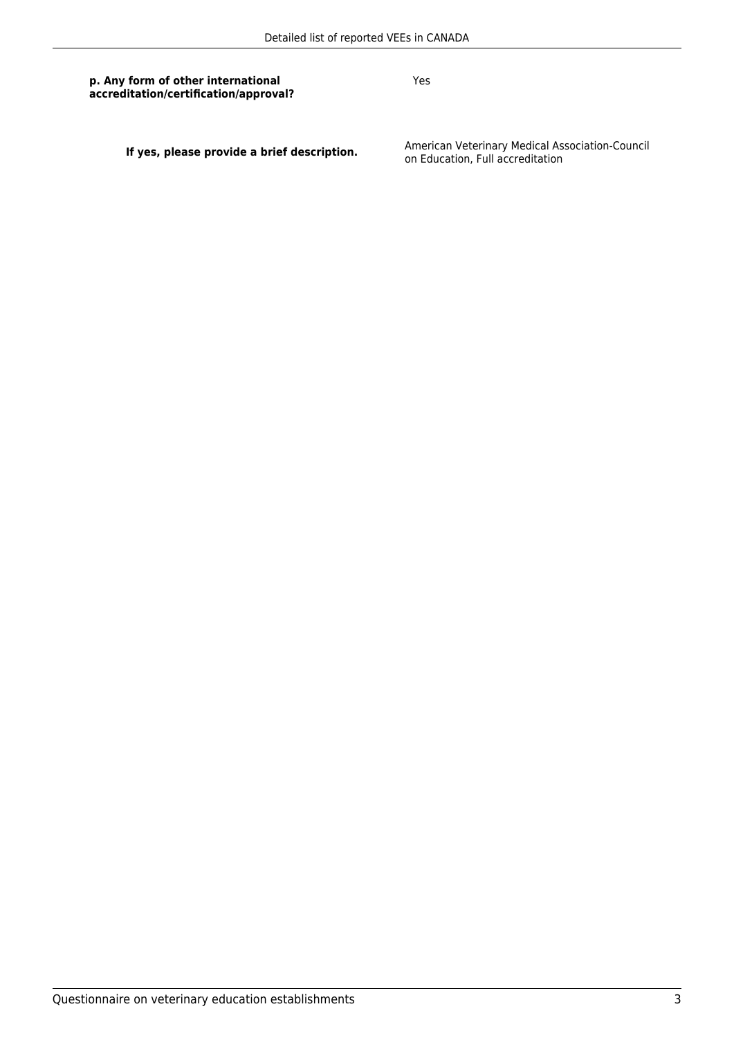Yes

**If yes, please provide a brief description.** American Veterinary Medical Association-Council<br>on Education, Full accreditation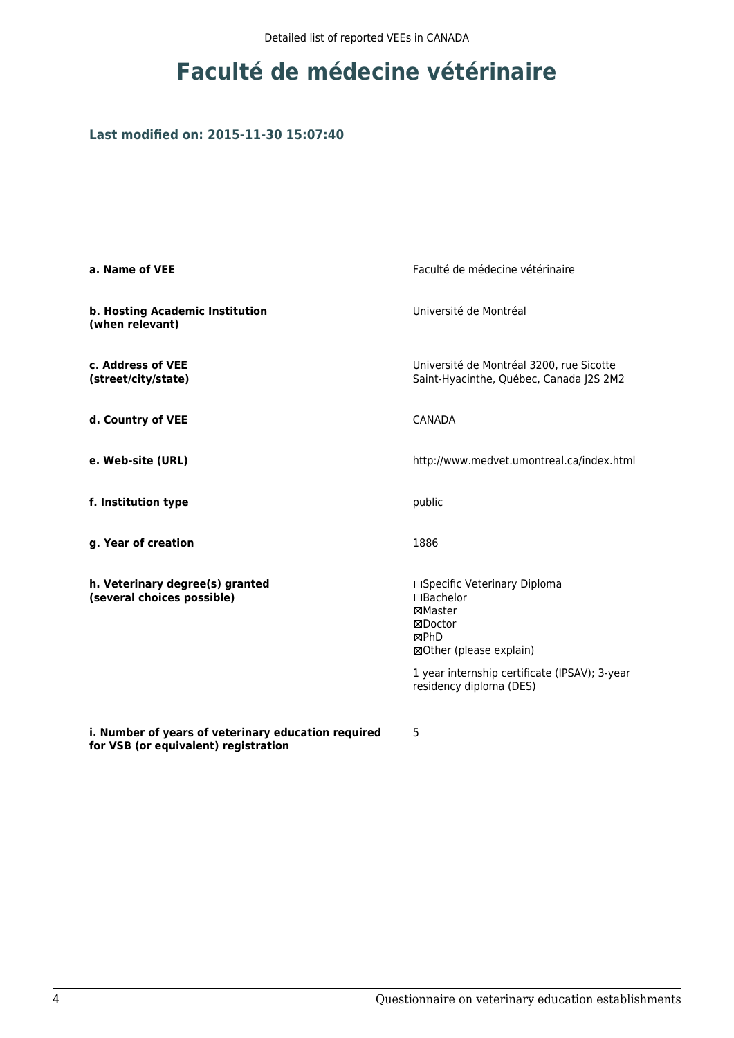## **Faculté de médecine vétérinaire**

### **Last modified on: 2015-11-30 15:07:40**

| a. Name of VEE                                                                              | Faculté de médecine vétérinaire                                                                    |
|---------------------------------------------------------------------------------------------|----------------------------------------------------------------------------------------------------|
| b. Hosting Academic Institution<br>(when relevant)                                          | Université de Montréal                                                                             |
| c. Address of VEE<br>(street/city/state)                                                    | Université de Montréal 3200, rue Sicotte<br>Saint-Hyacinthe, Québec, Canada J2S 2M2                |
| d. Country of VEE                                                                           | <b>CANADA</b>                                                                                      |
| e. Web-site (URL)                                                                           | http://www.medvet.umontreal.ca/index.html                                                          |
| f. Institution type                                                                         | public                                                                                             |
| g. Year of creation                                                                         | 1886                                                                                               |
| h. Veterinary degree(s) granted<br>(several choices possible)                               | □Specific Veterinary Diploma<br>□Bachelor<br>⊠Master<br>⊠Doctor<br>⊠PhD<br>⊠Other (please explain) |
|                                                                                             | 1 year internship certificate (IPSAV); 3-year<br>residency diploma (DES)                           |
| i. Number of years of veterinary education required<br>for VSB (or equivalent) registration | 5                                                                                                  |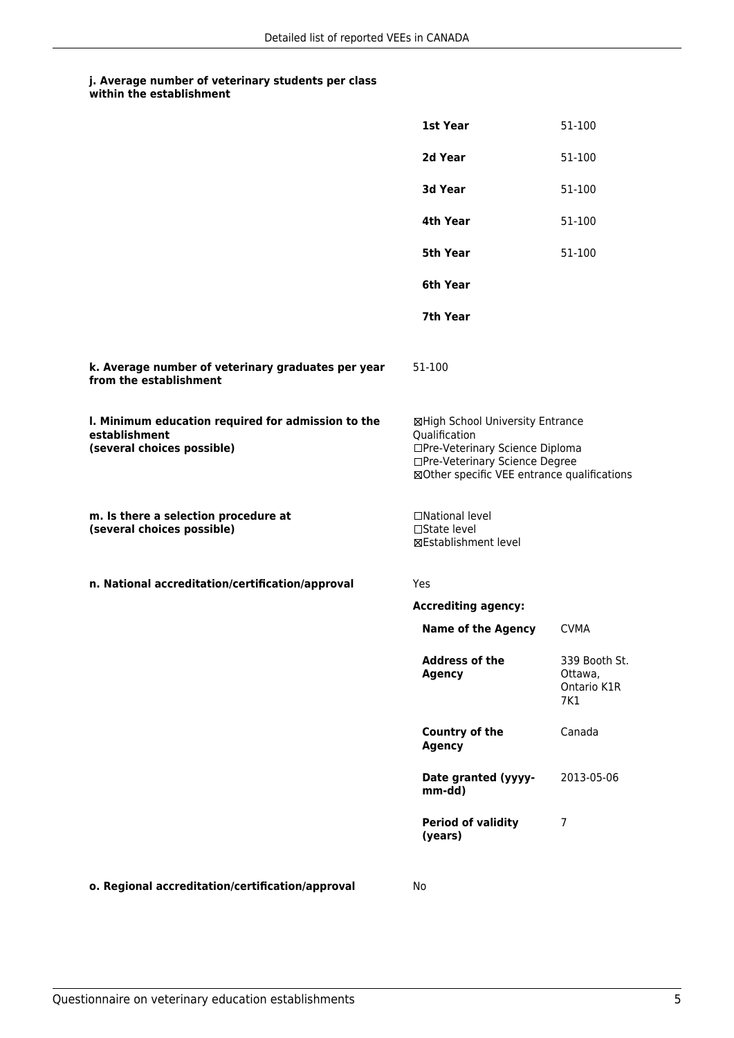## **j. Average number of veterinary students per class**

|                                                                                                   | 1st Year                                                                                                                                                              | 51-100                                         |
|---------------------------------------------------------------------------------------------------|-----------------------------------------------------------------------------------------------------------------------------------------------------------------------|------------------------------------------------|
|                                                                                                   | 2d Year                                                                                                                                                               | 51-100                                         |
|                                                                                                   | 3d Year                                                                                                                                                               | 51-100                                         |
|                                                                                                   | 4th Year                                                                                                                                                              | 51-100                                         |
|                                                                                                   | 5th Year                                                                                                                                                              | 51-100                                         |
|                                                                                                   | 6th Year                                                                                                                                                              |                                                |
|                                                                                                   | 7th Year                                                                                                                                                              |                                                |
| k. Average number of veterinary graduates per year<br>from the establishment                      | 51-100                                                                                                                                                                |                                                |
| I. Minimum education required for admission to the<br>establishment<br>(several choices possible) | ⊠High School University Entrance<br>Qualification<br>□Pre-Veterinary Science Diploma<br>□Pre-Veterinary Science Degree<br>⊠Other specific VEE entrance qualifications |                                                |
| m. Is there a selection procedure at<br>(several choices possible)                                | □National level<br>□State level<br><b>⊠Establishment level</b>                                                                                                        |                                                |
| n. National accreditation/certification/approval                                                  | Yes                                                                                                                                                                   |                                                |
|                                                                                                   | <b>Accrediting agency:</b>                                                                                                                                            |                                                |
|                                                                                                   | <b>Name of the Agency</b>                                                                                                                                             | <b>CVMA</b>                                    |
|                                                                                                   | Address of the<br><b>Agency</b>                                                                                                                                       | 339 Booth St.<br>Ottawa,<br>Ontario K1R<br>7K1 |
|                                                                                                   | Country of the<br><b>Agency</b>                                                                                                                                       | Canada                                         |
|                                                                                                   | Date granted (yyyy-<br>mm-dd)                                                                                                                                         | 2013-05-06                                     |
|                                                                                                   | <b>Period of validity</b><br>(years)                                                                                                                                  | 7                                              |
| o. Regional accreditation/certification/approval                                                  | No                                                                                                                                                                    |                                                |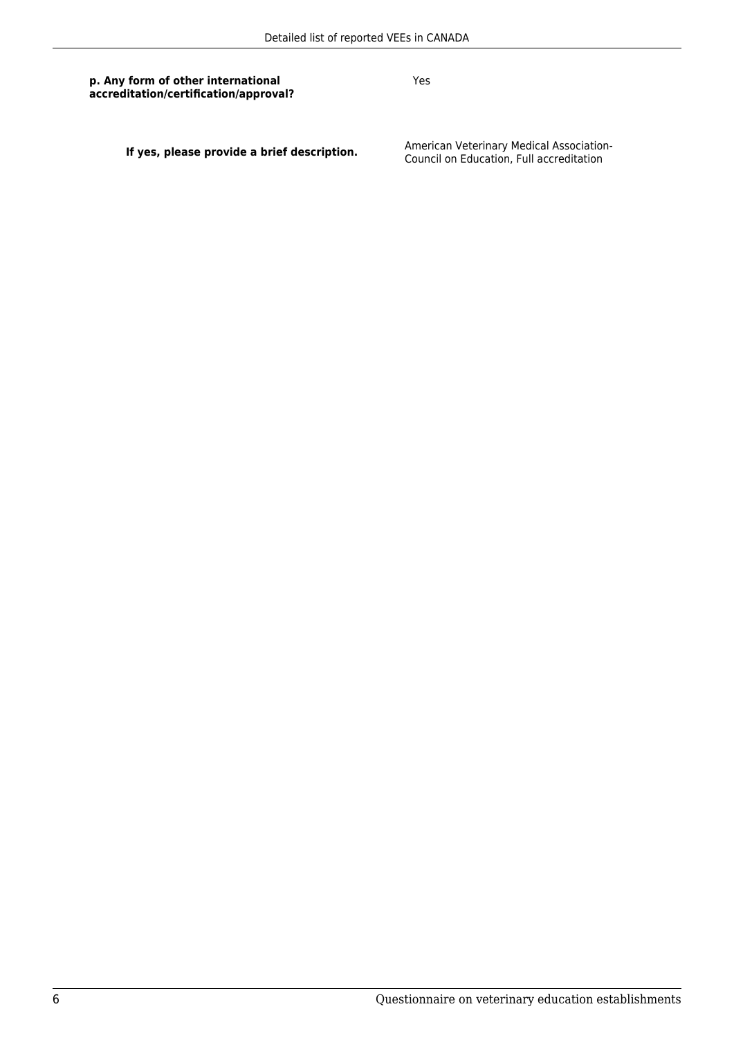Yes

**If yes, please provide a brief description.** American Veterinary Medical Association-<br>Council on Education, Full accreditation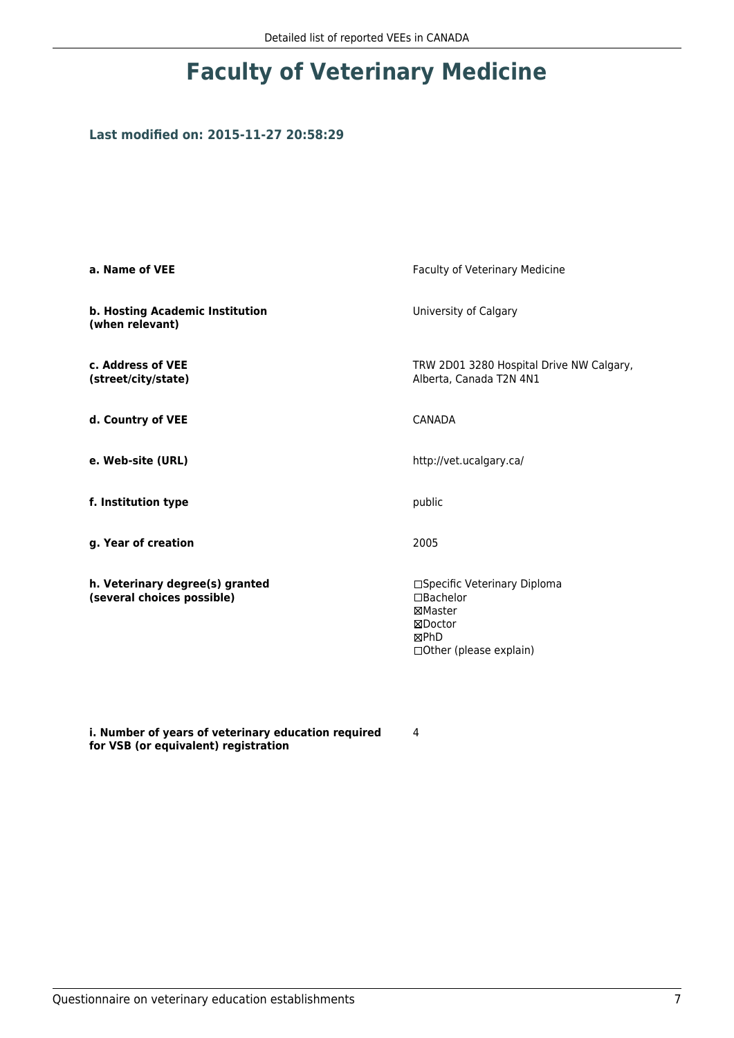## **Faculty of Veterinary Medicine**

## **Last modified on: 2015-11-27 20:58:29**

| a. Name of VEE                                                | Faculty of Veterinary Medicine                                                                           |
|---------------------------------------------------------------|----------------------------------------------------------------------------------------------------------|
| b. Hosting Academic Institution<br>(when relevant)            | University of Calgary                                                                                    |
| c. Address of VEE<br>(street/city/state)                      | TRW 2D01 3280 Hospital Drive NW Calgary,<br>Alberta, Canada T2N 4N1                                      |
| d. Country of VEE                                             | <b>CANADA</b>                                                                                            |
| e. Web-site (URL)                                             | http://vet.ucalgary.ca/                                                                                  |
| f. Institution type                                           | public                                                                                                   |
| g. Year of creation                                           | 2005                                                                                                     |
| h. Veterinary degree(s) granted<br>(several choices possible) | □Specific Veterinary Diploma<br>□Bachelor<br>⊠Master<br>⊠Doctor<br>⊠PhD<br>$\Box$ Other (please explain) |

**i. Number of years of veterinary education required for VSB (or equivalent) registration**

4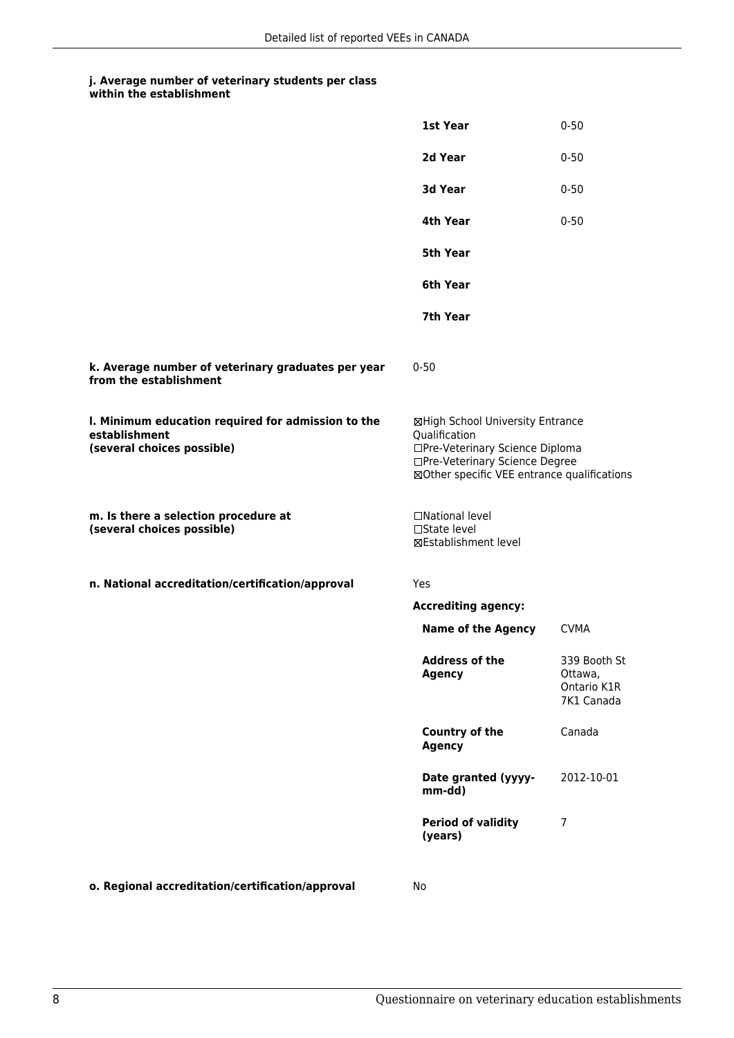|                                                                                                   | <b>1st Year</b>                                                                                                                                                       | $0 - 50$                                             |
|---------------------------------------------------------------------------------------------------|-----------------------------------------------------------------------------------------------------------------------------------------------------------------------|------------------------------------------------------|
|                                                                                                   | 2d Year                                                                                                                                                               | $0 - 50$                                             |
|                                                                                                   | 3d Year                                                                                                                                                               | $0 - 50$                                             |
|                                                                                                   | 4th Year                                                                                                                                                              | $0 - 50$                                             |
|                                                                                                   | <b>5th Year</b>                                                                                                                                                       |                                                      |
|                                                                                                   | 6th Year                                                                                                                                                              |                                                      |
|                                                                                                   | 7th Year                                                                                                                                                              |                                                      |
| k. Average number of veterinary graduates per year<br>from the establishment                      | $0 - 50$                                                                                                                                                              |                                                      |
| I. Minimum education required for admission to the<br>establishment<br>(several choices possible) | ⊠High School University Entrance<br>Qualification<br>□Pre-Veterinary Science Diploma<br>□Pre-Veterinary Science Degree<br>⊠Other specific VEE entrance qualifications |                                                      |
| m. Is there a selection procedure at<br>(several choices possible)                                | □National level<br>$\Box$ State level<br>⊠Establishment level                                                                                                         |                                                      |
| n. National accreditation/certification/approval                                                  | Yes                                                                                                                                                                   |                                                      |
|                                                                                                   | <b>Accrediting agency:</b>                                                                                                                                            |                                                      |
|                                                                                                   | <b>Name of the Agency</b>                                                                                                                                             | <b>CVMA</b>                                          |
|                                                                                                   | <b>Address of the</b><br><b>Agency</b>                                                                                                                                | 339 Booth St<br>Ottawa,<br>Ontario K1R<br>7K1 Canada |
|                                                                                                   | <b>Country of the</b><br><b>Agency</b>                                                                                                                                | Canada                                               |
|                                                                                                   | Date granted (yyyy-<br>mm-dd)                                                                                                                                         | 2012-10-01                                           |
|                                                                                                   | <b>Period of validity</b><br>(years)                                                                                                                                  | 7                                                    |
| o. Regional accreditation/certification/approval                                                  | No                                                                                                                                                                    |                                                      |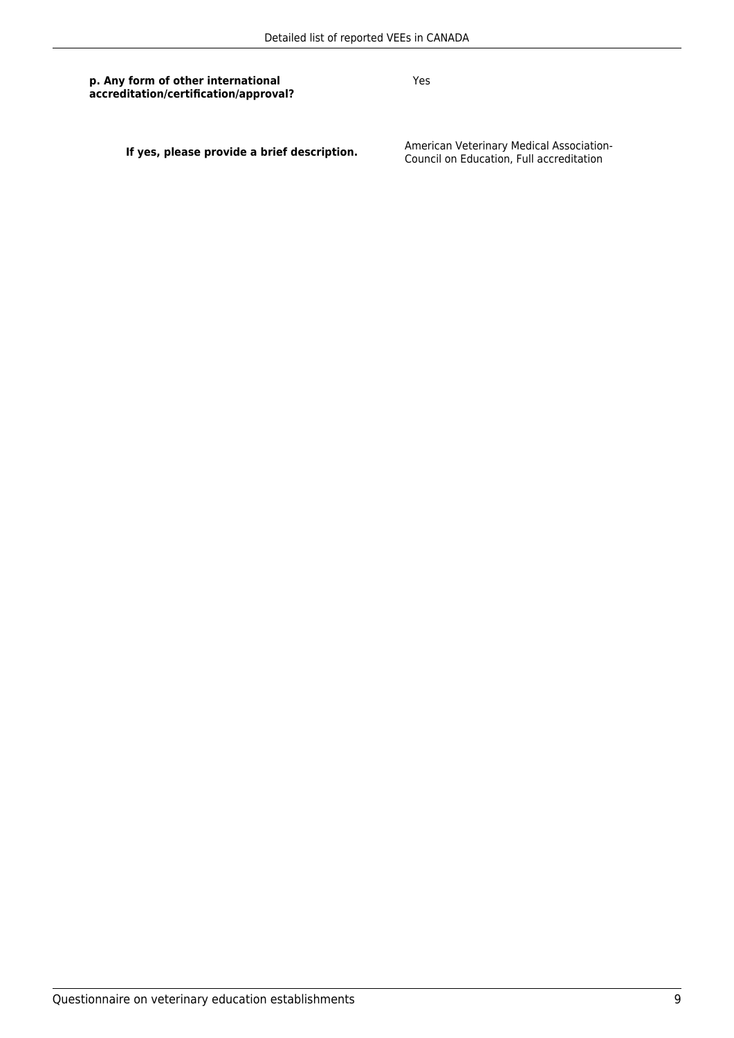Yes

**If yes, please provide a brief description.** American Veterinary Medical Association-<br>Council on Education, Full accreditation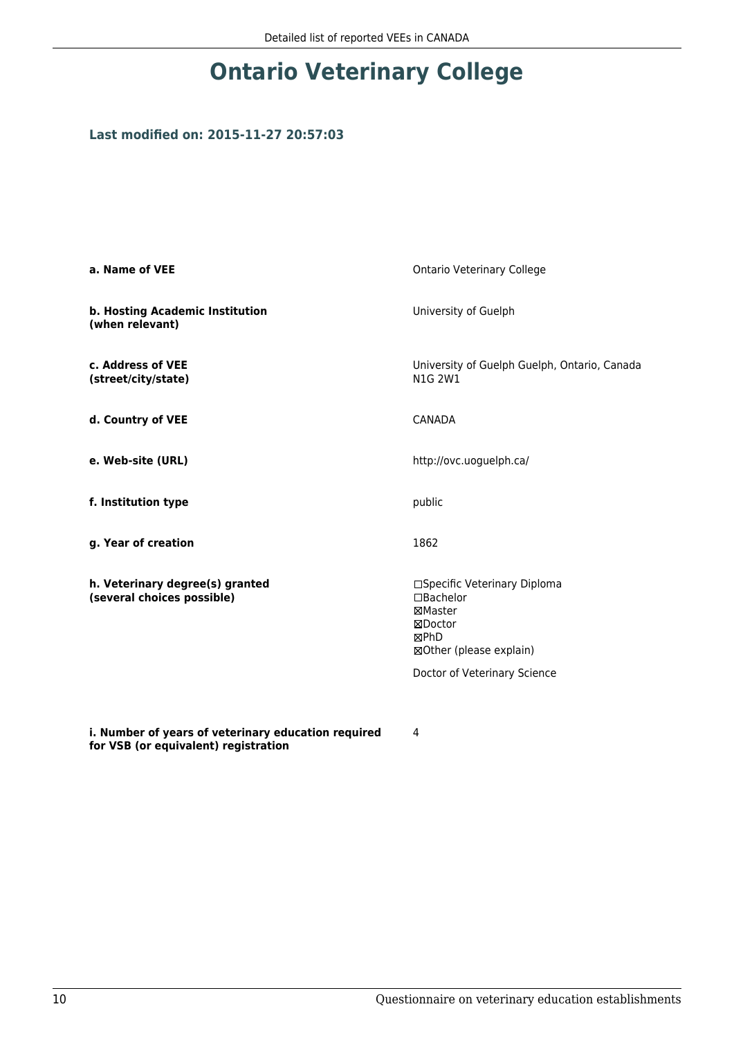## **Ontario Veterinary College**

### **Last modified on: 2015-11-27 20:57:03**

| a. Name of VEE                                                | <b>Ontario Veterinary College</b>                                                                                                  |
|---------------------------------------------------------------|------------------------------------------------------------------------------------------------------------------------------------|
| b. Hosting Academic Institution<br>(when relevant)            | University of Guelph                                                                                                               |
| c. Address of VEE<br>(street/city/state)                      | University of Guelph Guelph, Ontario, Canada<br>N1G 2W1                                                                            |
| d. Country of VEE                                             | <b>CANADA</b>                                                                                                                      |
| e. Web-site (URL)                                             | http://ovc.uoguelph.ca/                                                                                                            |
| f. Institution type                                           | public                                                                                                                             |
| g. Year of creation                                           | 1862                                                                                                                               |
| h. Veterinary degree(s) granted<br>(several choices possible) | □Specific Veterinary Diploma<br>□Bachelor<br>⊠Master<br>⊠Doctor<br>⊠PhD<br>⊠Other (please explain)<br>Doctor of Veterinary Science |
| i. Number of years of veterinary education required           | 4                                                                                                                                  |

**for VSB (or equivalent) registration**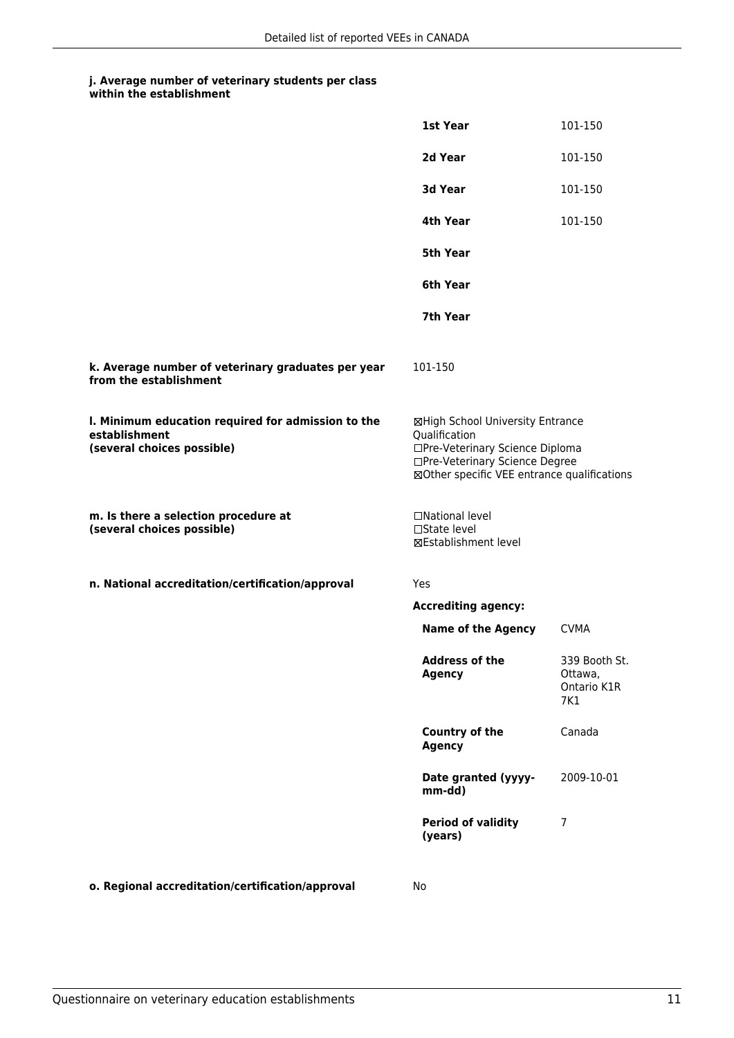|                                                                                                   | 1st Year                                                                                                                                                              | 101-150                                        |
|---------------------------------------------------------------------------------------------------|-----------------------------------------------------------------------------------------------------------------------------------------------------------------------|------------------------------------------------|
|                                                                                                   | 2d Year                                                                                                                                                               | 101-150                                        |
|                                                                                                   | 3d Year                                                                                                                                                               | 101-150                                        |
|                                                                                                   | 4th Year                                                                                                                                                              | 101-150                                        |
|                                                                                                   | <b>5th Year</b>                                                                                                                                                       |                                                |
|                                                                                                   | 6th Year                                                                                                                                                              |                                                |
|                                                                                                   | 7th Year                                                                                                                                                              |                                                |
| k. Average number of veterinary graduates per year<br>from the establishment                      | 101-150                                                                                                                                                               |                                                |
| I. Minimum education required for admission to the<br>establishment<br>(several choices possible) | ⊠High School University Entrance<br>Qualification<br>□Pre-Veterinary Science Diploma<br>□Pre-Veterinary Science Degree<br>⊠Other specific VEE entrance qualifications |                                                |
| m. Is there a selection procedure at<br>(several choices possible)                                | □National level<br>□State level<br>⊠Establishment level                                                                                                               |                                                |
| n. National accreditation/certification/approval                                                  | Yes                                                                                                                                                                   |                                                |
|                                                                                                   | <b>Accrediting agency:</b>                                                                                                                                            |                                                |
|                                                                                                   | <b>Name of the Agency</b>                                                                                                                                             | <b>CVMA</b>                                    |
|                                                                                                   | <b>Address of the</b><br><b>Agency</b>                                                                                                                                | 339 Booth St.<br>Ottawa,<br>Ontario K1R<br>7K1 |
|                                                                                                   | Country of the<br><b>Agency</b>                                                                                                                                       | Canada                                         |
|                                                                                                   | Date granted (yyyy-<br>mm-dd)                                                                                                                                         | 2009-10-01                                     |
|                                                                                                   | <b>Period of validity</b><br>(years)                                                                                                                                  | $\overline{7}$                                 |
| o. Regional accreditation/certification/approval                                                  | No                                                                                                                                                                    |                                                |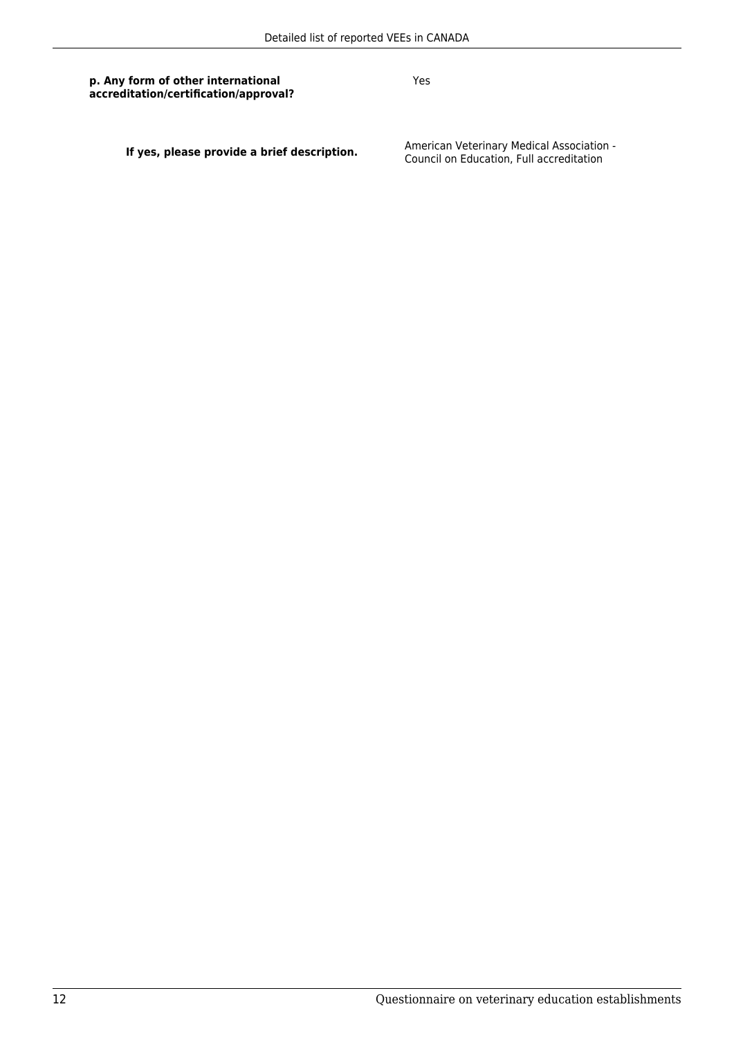Yes

**If yes, please provide a brief description.** American Veterinary Medical Association -<br>Council on Education, Full accreditation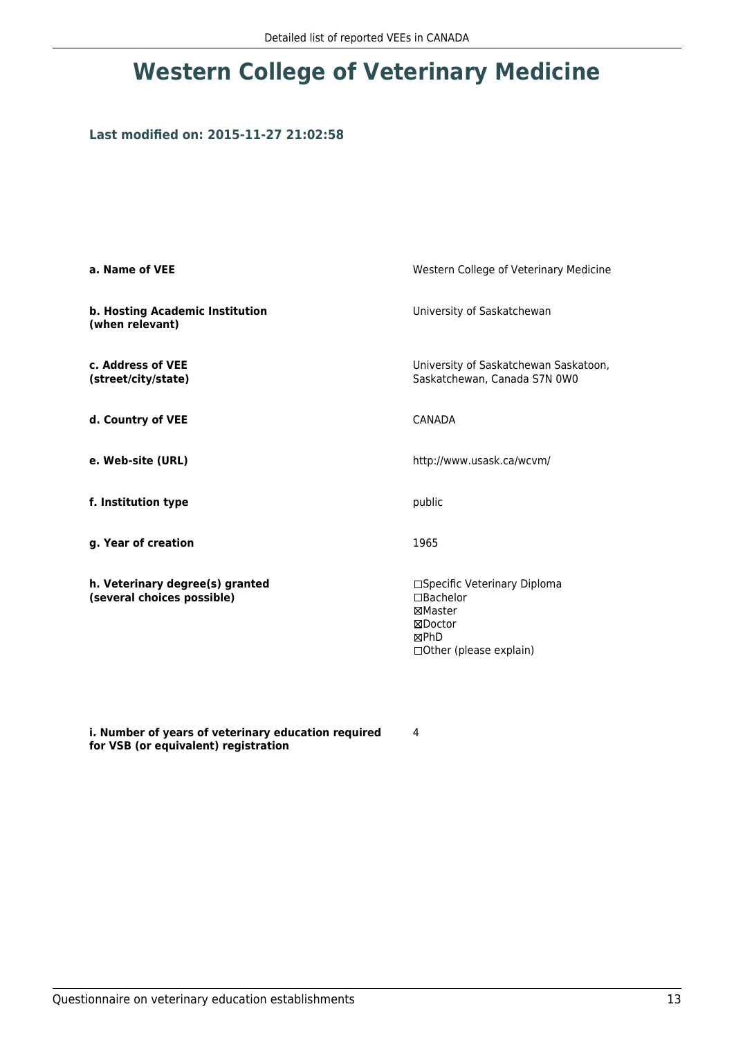## **Western College of Veterinary Medicine**

### **Last modified on: 2015-11-27 21:02:58**

| a. Name of VEE                                                | Western College of Veterinary Medicine                                                                         |
|---------------------------------------------------------------|----------------------------------------------------------------------------------------------------------------|
| b. Hosting Academic Institution<br>(when relevant)            | University of Saskatchewan                                                                                     |
| c. Address of VEE<br>(street/city/state)                      | University of Saskatchewan Saskatoon,<br>Saskatchewan, Canada S7N 0W0                                          |
| d. Country of VEE                                             | CANADA                                                                                                         |
| e. Web-site (URL)                                             | http://www.usask.ca/wcvm/                                                                                      |
| f. Institution type                                           | public                                                                                                         |
| g. Year of creation                                           | 1965                                                                                                           |
| h. Veterinary degree(s) granted<br>(several choices possible) | □Specific Veterinary Diploma<br>$\Box$ Bachelor<br>⊠Master<br>⊠Doctor<br>⊠PhD<br>$\Box$ Other (please explain) |

**i. Number of years of veterinary education required for VSB (or equivalent) registration**

4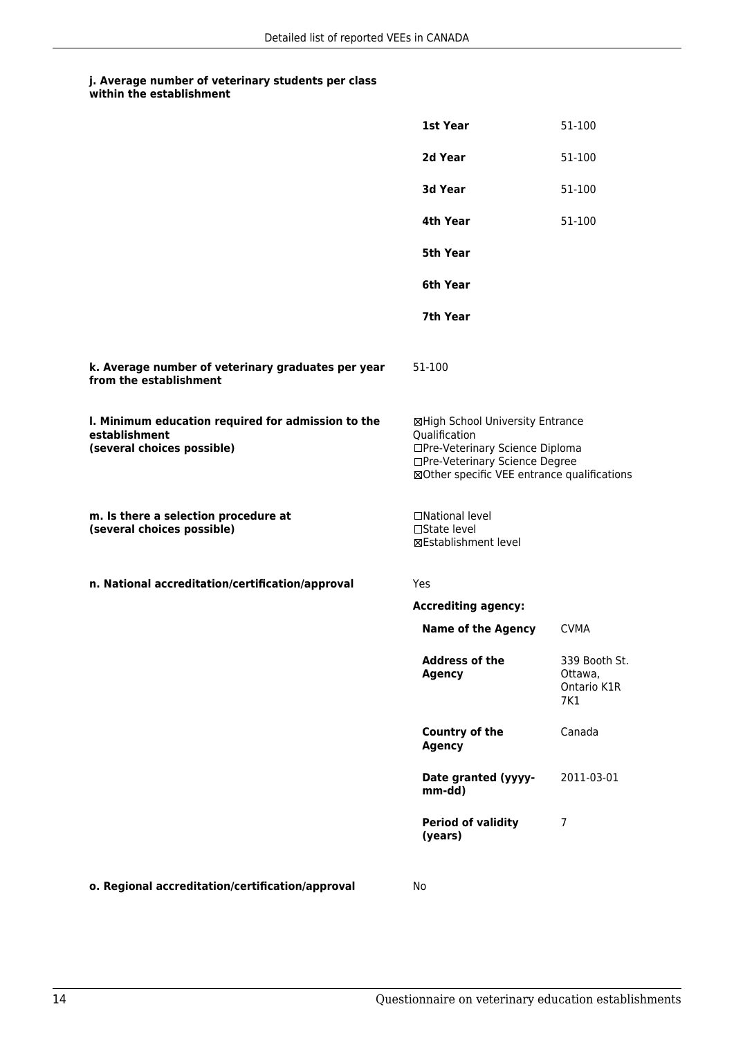|                                                                                                   | <b>1st Year</b>                                                                                                                                                       | 51-100                                         |
|---------------------------------------------------------------------------------------------------|-----------------------------------------------------------------------------------------------------------------------------------------------------------------------|------------------------------------------------|
|                                                                                                   | 2d Year                                                                                                                                                               | 51-100                                         |
|                                                                                                   | 3d Year                                                                                                                                                               | 51-100                                         |
|                                                                                                   | 4th Year                                                                                                                                                              | 51-100                                         |
|                                                                                                   | <b>5th Year</b>                                                                                                                                                       |                                                |
|                                                                                                   | 6th Year                                                                                                                                                              |                                                |
|                                                                                                   | 7th Year                                                                                                                                                              |                                                |
| k. Average number of veterinary graduates per year<br>from the establishment                      | 51-100                                                                                                                                                                |                                                |
| I. Minimum education required for admission to the<br>establishment<br>(several choices possible) | ⊠High School University Entrance<br>Qualification<br>□Pre-Veterinary Science Diploma<br>□Pre-Veterinary Science Degree<br>⊠Other specific VEE entrance qualifications |                                                |
| m. Is there a selection procedure at<br>(several choices possible)                                | □National level<br>$\Box$ State level<br>⊠Establishment level                                                                                                         |                                                |
| n. National accreditation/certification/approval                                                  | Yes                                                                                                                                                                   |                                                |
|                                                                                                   | <b>Accrediting agency:</b>                                                                                                                                            |                                                |
|                                                                                                   | <b>Name of the Agency</b>                                                                                                                                             | <b>CVMA</b>                                    |
|                                                                                                   | <b>Address of the</b><br><b>Agency</b>                                                                                                                                | 339 Booth St.<br>Ottawa,<br>Ontario K1R<br>7K1 |
|                                                                                                   | <b>Country of the</b><br><b>Agency</b>                                                                                                                                | Canada                                         |
|                                                                                                   | Date granted (yyyy-<br>mm-dd)                                                                                                                                         | 2011-03-01                                     |
|                                                                                                   | <b>Period of validity</b><br>(years)                                                                                                                                  | $\overline{7}$                                 |
|                                                                                                   |                                                                                                                                                                       |                                                |

**o. Regional accreditation/certification/approval** No